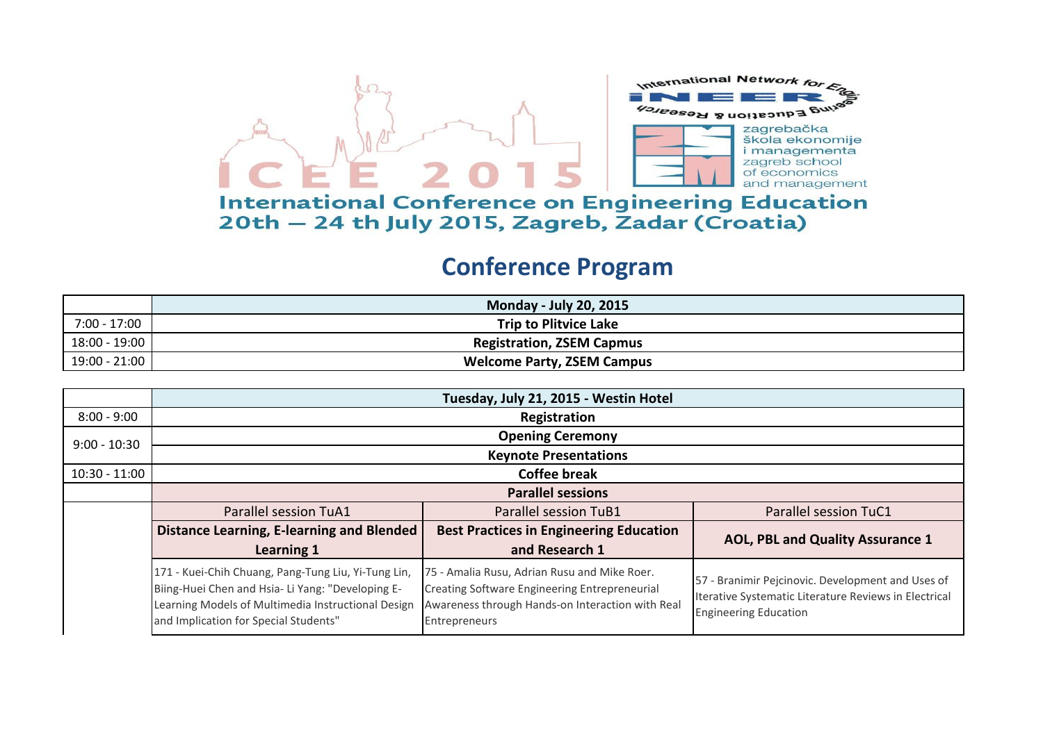

## **International Conference on Engineering Education** 20th - 24 th July 2015, Zagreb, Zadar (Croatia)

## **Conference Program**

|               | <b>Monday - July 20, 2015</b>     |
|---------------|-----------------------------------|
| 7:00 - 17:00  | <b>Trip to Plitvice Lake</b>      |
| 18:00 - 19:00 | <b>Registration, ZSEM Capmus</b>  |
| 19:00 - 21:00 | <b>Welcome Party, ZSEM Campus</b> |

|                 | Tuesday, July 21, 2015 - Westin Hotel                                                                                                                                                                   |                                                                                                                                                                           |                                                                                                                                            |
|-----------------|---------------------------------------------------------------------------------------------------------------------------------------------------------------------------------------------------------|---------------------------------------------------------------------------------------------------------------------------------------------------------------------------|--------------------------------------------------------------------------------------------------------------------------------------------|
| $8:00 - 9:00$   | Registration                                                                                                                                                                                            |                                                                                                                                                                           |                                                                                                                                            |
| $9:00 - 10:30$  |                                                                                                                                                                                                         | <b>Opening Ceremony</b>                                                                                                                                                   |                                                                                                                                            |
|                 |                                                                                                                                                                                                         | <b>Keynote Presentations</b>                                                                                                                                              |                                                                                                                                            |
| $10:30 - 11:00$ | <b>Coffee break</b>                                                                                                                                                                                     |                                                                                                                                                                           |                                                                                                                                            |
|                 |                                                                                                                                                                                                         | <b>Parallel sessions</b>                                                                                                                                                  |                                                                                                                                            |
|                 | <b>Parallel session TuA1</b>                                                                                                                                                                            | Parallel session TuB1                                                                                                                                                     | <b>Parallel session TuC1</b>                                                                                                               |
|                 | <b>Distance Learning, E-learning and Blended</b>                                                                                                                                                        | <b>Best Practices in Engineering Education</b>                                                                                                                            | <b>AOL, PBL and Quality Assurance 1</b>                                                                                                    |
|                 | <b>Learning 1</b>                                                                                                                                                                                       | and Research 1                                                                                                                                                            |                                                                                                                                            |
|                 | 171 - Kuei-Chih Chuang, Pang-Tung Liu, Yi-Tung Lin,<br>Biing-Huei Chen and Hsia- Li Yang: "Developing E-<br>Learning Models of Multimedia Instructional Design<br>and Implication for Special Students" | 75 - Amalia Rusu, Adrian Rusu and Mike Roer.<br><b>Creating Software Engineering Entrepreneurial</b><br>Awareness through Hands-on Interaction with Real<br>Entrepreneurs | 57 - Branimir Pejcinovic. Development and Uses of<br>Iterative Systematic Literature Reviews in Electrical<br><b>Engineering Education</b> |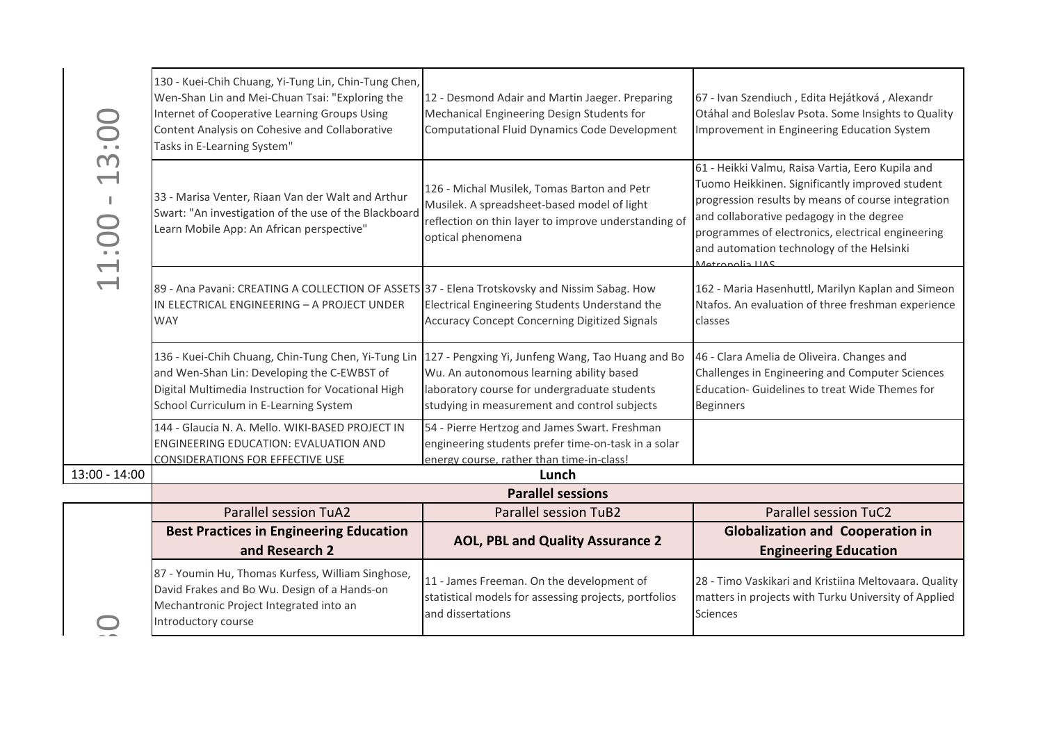| $\sum_{i=1}^{n}$<br>m<br>$\overline{\phantom{0}}$<br>$\mathbf{I}$<br>1.00 | 130 - Kuei-Chih Chuang, Yi-Tung Lin, Chin-Tung Chen,<br>Wen-Shan Lin and Mei-Chuan Tsai: "Exploring the<br>Internet of Cooperative Learning Groups Using<br>Content Analysis on Cohesive and Collaborative<br>Tasks in E-Learning System" | 12 - Desmond Adair and Martin Jaeger. Preparing<br>Mechanical Engineering Design Students for<br><b>Computational Fluid Dynamics Code Development</b>                                         | 67 - Ivan Szendiuch, Edita Hejátková, Alexandr<br>Otáhal and Boleslav Psota. Some Insights to Quality<br>Improvement in Engineering Education System                                                                                                                                                                       |
|---------------------------------------------------------------------------|-------------------------------------------------------------------------------------------------------------------------------------------------------------------------------------------------------------------------------------------|-----------------------------------------------------------------------------------------------------------------------------------------------------------------------------------------------|----------------------------------------------------------------------------------------------------------------------------------------------------------------------------------------------------------------------------------------------------------------------------------------------------------------------------|
|                                                                           | 33 - Marisa Venter, Riaan Van der Walt and Arthur<br>Swart: "An investigation of the use of the Blackboard<br>Learn Mobile App: An African perspective"                                                                                   | 126 - Michal Musilek, Tomas Barton and Petr<br>Musilek. A spreadsheet-based model of light<br>reflection on thin layer to improve understanding of<br>optical phenomena                       | 61 - Heikki Valmu, Raisa Vartia, Eero Kupila and<br>Tuomo Heikkinen. Significantly improved student<br>progression results by means of course integration<br>and collaborative pedagogy in the degree<br>programmes of electronics, electrical engineering<br>and automation technology of the Helsinki<br>Jotropolis LLAS |
| $\overline{\phantom{0}}$                                                  | 89 - Ana Pavani: CREATING A COLLECTION OF ASSETS 37 - Elena Trotskovsky and Nissim Sabag. How<br>IN ELECTRICAL ENGINEERING - A PROJECT UNDER<br><b>WAY</b>                                                                                | Electrical Engineering Students Understand the<br><b>Accuracy Concept Concerning Digitized Signals</b>                                                                                        | 162 - Maria Hasenhuttl, Marilyn Kaplan and Simeon<br>Ntafos. An evaluation of three freshman experience<br>classes                                                                                                                                                                                                         |
|                                                                           | 136 - Kuei-Chih Chuang, Chin-Tung Chen, Yi-Tung Lin<br>and Wen-Shan Lin: Developing the C-EWBST of<br>Digital Multimedia Instruction for Vocational High<br>School Curriculum in E-Learning System                                        | 127 - Pengxing Yi, Junfeng Wang, Tao Huang and Bo<br>Wu. An autonomous learning ability based<br>laboratory course for undergraduate students<br>studying in measurement and control subjects | 46 - Clara Amelia de Oliveira. Changes and<br>Challenges in Engineering and Computer Sciences<br>Education- Guidelines to treat Wide Themes for<br><b>Beginners</b>                                                                                                                                                        |
|                                                                           | 144 - Glaucia N. A. Mello. WIKI-BASED PROJECT IN<br>ENGINEERING EDUCATION: EVALUATION AND<br><b>CONSIDERATIONS FOR EFFECTIVE USE</b>                                                                                                      | 54 - Pierre Hertzog and James Swart. Freshman<br>engineering students prefer time-on-task in a solar<br>energy course, rather than time-in-class!                                             |                                                                                                                                                                                                                                                                                                                            |
| 13:00 - 14:00                                                             |                                                                                                                                                                                                                                           | Lunch                                                                                                                                                                                         |                                                                                                                                                                                                                                                                                                                            |
|                                                                           |                                                                                                                                                                                                                                           | <b>Parallel sessions</b>                                                                                                                                                                      |                                                                                                                                                                                                                                                                                                                            |
|                                                                           | <b>Parallel session TuA2</b>                                                                                                                                                                                                              | <b>Parallel session TuB2</b>                                                                                                                                                                  | <b>Parallel session TuC2</b>                                                                                                                                                                                                                                                                                               |
|                                                                           | <b>Best Practices in Engineering Education</b><br>and Research 2                                                                                                                                                                          | AOL, PBL and Quality Assurance 2                                                                                                                                                              | <b>Globalization and Cooperation in</b><br><b>Engineering Education</b>                                                                                                                                                                                                                                                    |
|                                                                           | 87 - Youmin Hu, Thomas Kurfess, William Singhose,<br>David Frakes and Bo Wu. Design of a Hands-on<br>Mechantronic Project Integrated into an<br>Introductory course                                                                       | 11 - James Freeman. On the development of<br>statistical models for assessing projects, portfolios<br>and dissertations                                                                       | 28 - Timo Vaskikari and Kristiina Meltovaara. Quality<br>matters in projects with Turku University of Applied<br><b>Sciences</b>                                                                                                                                                                                           |
|                                                                           |                                                                                                                                                                                                                                           |                                                                                                                                                                                               |                                                                                                                                                                                                                                                                                                                            |
|                                                                           |                                                                                                                                                                                                                                           |                                                                                                                                                                                               |                                                                                                                                                                                                                                                                                                                            |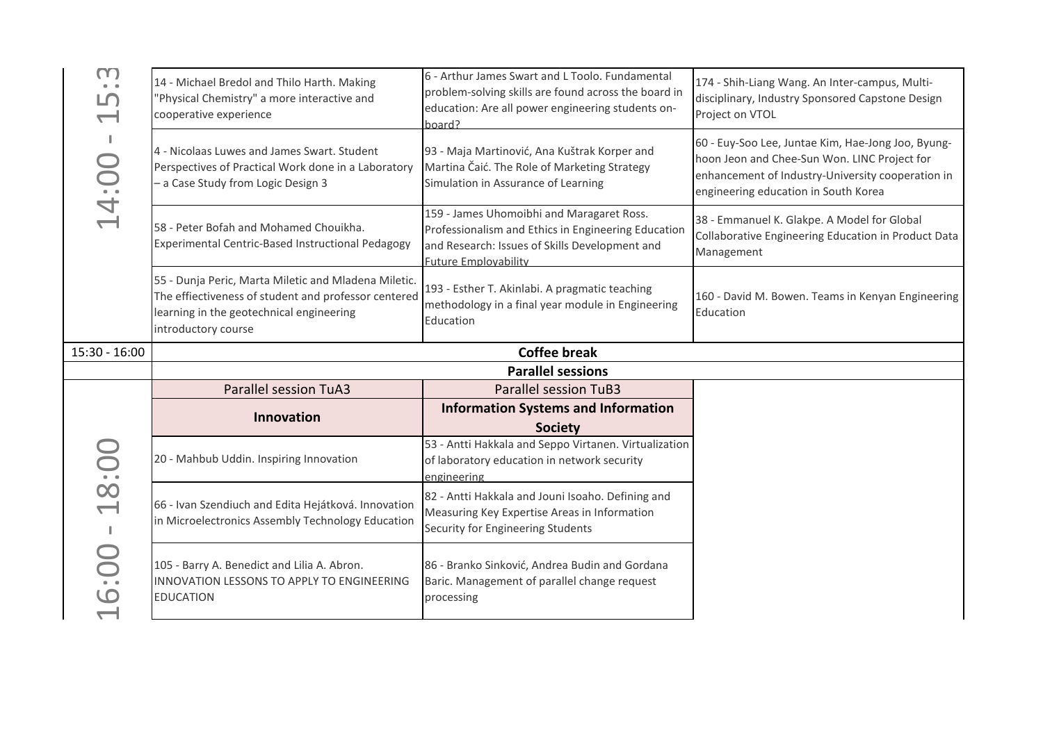| $\Gamma$<br>$\begin{array}{cc} \bullet & \bullet \end{array}$<br>பி<br>$\overline{\phantom{0}}$<br>a B<br>14:00 | 14 - Michael Bredol and Thilo Harth. Making<br>'Physical Chemistry" a more interactive and<br>cooperative experience                                                            | 6 - Arthur James Swart and L Toolo. Fundamental<br>problem-solving skills are found across the board in<br>education: Are all power engineering students on-<br>hoard?            | 174 - Shih-Liang Wang. An Inter-campus, Multi-<br>disciplinary, Industry Sponsored Capstone Design<br>Project on VTOL                                                                           |
|-----------------------------------------------------------------------------------------------------------------|---------------------------------------------------------------------------------------------------------------------------------------------------------------------------------|-----------------------------------------------------------------------------------------------------------------------------------------------------------------------------------|-------------------------------------------------------------------------------------------------------------------------------------------------------------------------------------------------|
|                                                                                                                 | 4 - Nicolaas Luwes and James Swart. Student<br>Perspectives of Practical Work done in a Laboratory<br>- a Case Study from Logic Design 3                                        | 93 - Maja Martinović, Ana Kuštrak Korper and<br>Martina Čaić. The Role of Marketing Strategy<br>Simulation in Assurance of Learning                                               | 60 - Euy-Soo Lee, Juntae Kim, Hae-Jong Joo, Byung-<br>hoon Jeon and Chee-Sun Won. LINC Project for<br>enhancement of Industry-University cooperation in<br>engineering education in South Korea |
|                                                                                                                 | 58 - Peter Bofah and Mohamed Chouikha.<br>Experimental Centric-Based Instructional Pedagogy                                                                                     | 159 - James Uhomoibhi and Maragaret Ross.<br>Professionalism and Ethics in Engineering Education<br>and Research: Issues of Skills Development and<br><b>Future Emplovability</b> | 38 - Emmanuel K. Glakpe. A Model for Global<br>Collaborative Engineering Education in Product Data<br>Management                                                                                |
|                                                                                                                 | 55 - Dunja Peric, Marta Miletic and Mladena Miletic.<br>The effiectiveness of student and professor centered<br>learning in the geotechnical engineering<br>introductory course | 193 - Esther T. Akinlabi. A pragmatic teaching<br>methodology in a final year module in Engineering<br>Education                                                                  | 160 - David M. Bowen. Teams in Kenyan Engineering<br>Education                                                                                                                                  |
| $15:30 - 16:00$                                                                                                 |                                                                                                                                                                                 | <b>Coffee break</b>                                                                                                                                                               |                                                                                                                                                                                                 |
|                                                                                                                 |                                                                                                                                                                                 | <b>Parallel sessions</b>                                                                                                                                                          |                                                                                                                                                                                                 |
|                                                                                                                 | <b>Parallel session TuA3</b>                                                                                                                                                    | <b>Parallel session TuB3</b>                                                                                                                                                      |                                                                                                                                                                                                 |
|                                                                                                                 |                                                                                                                                                                                 |                                                                                                                                                                                   |                                                                                                                                                                                                 |
|                                                                                                                 | <b>Innovation</b>                                                                                                                                                               | <b>Information Systems and Information</b>                                                                                                                                        |                                                                                                                                                                                                 |
|                                                                                                                 | 20 - Mahbub Uddin. Inspiring Innovation                                                                                                                                         | <b>Society</b><br>53 - Antti Hakkala and Seppo Virtanen. Virtualization<br>of laboratory education in network security<br>engineering                                             |                                                                                                                                                                                                 |
| 18:00<br>$\blacksquare$<br>6:00                                                                                 | 66 - Ivan Szendiuch and Edita Hejátková. Innovation<br>in Microelectronics Assembly Technology Education                                                                        | 82 - Antti Hakkala and Jouni Isoaho. Defining and<br>Measuring Key Expertise Areas in Information<br>Security for Engineering Students                                            |                                                                                                                                                                                                 |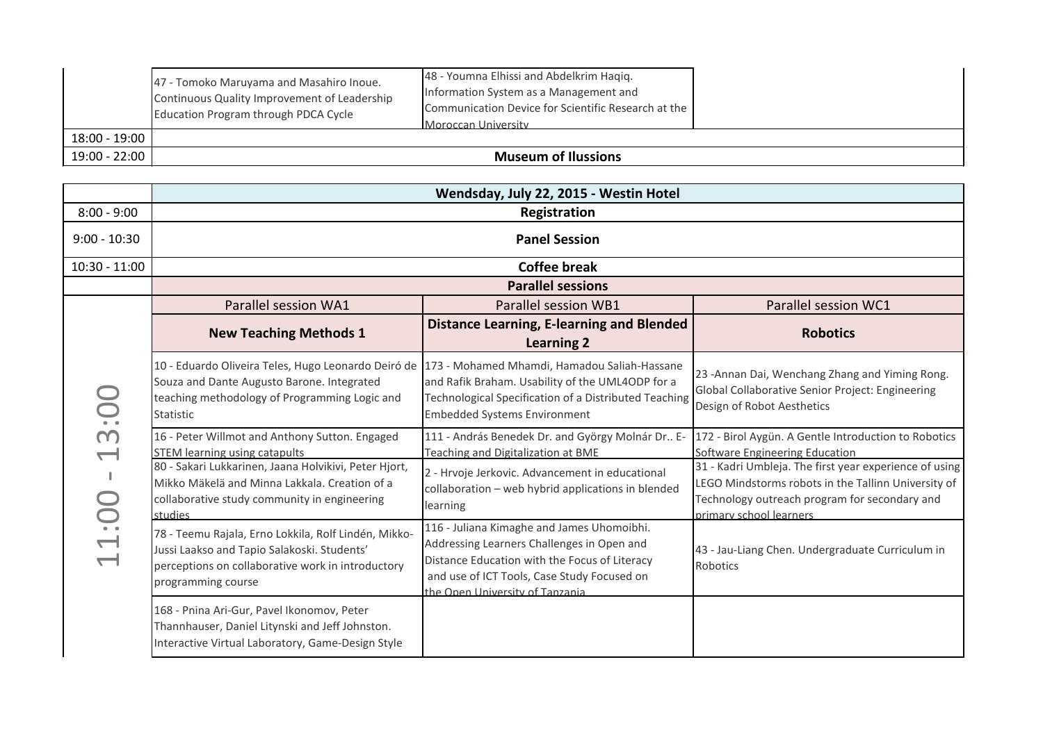|               | 47 - Tomoko Maruyama and Masahiro Inoue.<br>Continuous Quality Improvement of Leadership<br>Education Program through PDCA Cycle | 48 - Youmna Elhissi and Abdelkrim Haqiq.<br>Information System as a Management and<br>Communication Device for Scientific Research at the<br>Moroccan University |  |
|---------------|----------------------------------------------------------------------------------------------------------------------------------|------------------------------------------------------------------------------------------------------------------------------------------------------------------|--|
| 18:00 - 19:00 |                                                                                                                                  |                                                                                                                                                                  |  |
| 19:00 - 22:00 |                                                                                                                                  | <b>Museum of Ilussions</b>                                                                                                                                       |  |

|                 | 47 - Tomoko Maruyama and Masahiro Inoue.<br>Continuous Quality Improvement of Leadership<br>Education Program through PDCA Cycle                                                                             | 48 - Youmna Elhissi and Abdelkrim Haqiq.<br>Information System as a Management and<br>Communication Device for Scientific Research at the<br>Moroccan University |                                                                                                                                                                                           |
|-----------------|--------------------------------------------------------------------------------------------------------------------------------------------------------------------------------------------------------------|------------------------------------------------------------------------------------------------------------------------------------------------------------------|-------------------------------------------------------------------------------------------------------------------------------------------------------------------------------------------|
| $18:00 - 19:00$ |                                                                                                                                                                                                              |                                                                                                                                                                  |                                                                                                                                                                                           |
| 19:00 - 22:00   |                                                                                                                                                                                                              | <b>Museum of Ilussions</b>                                                                                                                                       |                                                                                                                                                                                           |
|                 |                                                                                                                                                                                                              |                                                                                                                                                                  |                                                                                                                                                                                           |
|                 |                                                                                                                                                                                                              | Wendsday, July 22, 2015 - Westin Hotel                                                                                                                           |                                                                                                                                                                                           |
| $8:00 - 9:00$   |                                                                                                                                                                                                              | Registration                                                                                                                                                     |                                                                                                                                                                                           |
| $9:00 - 10:30$  |                                                                                                                                                                                                              | <b>Panel Session</b>                                                                                                                                             |                                                                                                                                                                                           |
| $10:30 - 11:00$ | <b>Coffee break</b>                                                                                                                                                                                          |                                                                                                                                                                  |                                                                                                                                                                                           |
|                 | <b>Parallel sessions</b>                                                                                                                                                                                     |                                                                                                                                                                  |                                                                                                                                                                                           |
|                 | Parallel session WA1                                                                                                                                                                                         | Parallel session WB1                                                                                                                                             | Parallel session WC1                                                                                                                                                                      |
|                 | <b>New Teaching Methods 1</b>                                                                                                                                                                                | <b>Distance Learning, E-learning and Blended</b><br><b>Learning 2</b>                                                                                            | <b>Robotics</b>                                                                                                                                                                           |
|                 | 10 - Eduardo Oliveira Teles, Hugo Leonardo Deiró de 173 - Mohamed Mhamdi, Hamadou Saliah-Hassane<br>Souza and Dante Augusto Barone. Integrated<br>teaching methodology of Programming Logic and<br>Statistic | and Rafik Braham. Usability of the UML4ODP for a<br>Technological Specification of a Distributed Teaching<br><b>Embedded Systems Environment</b>                 | 23 - Annan Dai, Wenchang Zhang and Yiming Rong.<br>Global Collaborative Senior Project: Engineering<br>Design of Robot Aesthetics                                                         |
| m               | 16 - Peter Willmot and Anthony Sutton. Engaged<br><b>STEM learning using catapults</b>                                                                                                                       | 111 - András Benedek Dr. and György Molnár Dr E-<br>Teaching and Digitalization at BME                                                                           | 172 - Birol Aygün. A Gentle Introduction to Robotics<br>Software Engineering Education                                                                                                    |
| 11:00           | 80 - Sakari Lukkarinen, Jaana Holvikivi, Peter Hjort,<br>Mikko Mäkelä and Minna Lakkala. Creation of a<br>collaborative study community in engineering<br>studies                                            | 2 - Hrvoje Jerkovic. Advancement in educational<br>collaboration - web hybrid applications in blended<br>learning                                                | 31 - Kadri Umbleja. The first year experience of using<br>LEGO Mindstorms robots in the Tallinn University of<br>Technology outreach program for secondary and<br>primary school learners |
|                 | 78 - Teemu Rajala, Erno Lokkila, Rolf Lindén, Mikko-<br>Jussi Laakso and Tapio Salakoski. Students'                                                                                                          | 116 - Juliana Kimaghe and James Uhomoibhi.<br>Addressing Learners Challenges in Open and<br>Distance Education with the Focus of Literacy                        | 43 - Jau-Liang Chen. Undergraduate Curriculum in<br>Robotics                                                                                                                              |
|                 | perceptions on collaborative work in introductory<br>programming course                                                                                                                                      | and use of ICT Tools, Case Study Focused on<br>the Onen University of Tanzania                                                                                   |                                                                                                                                                                                           |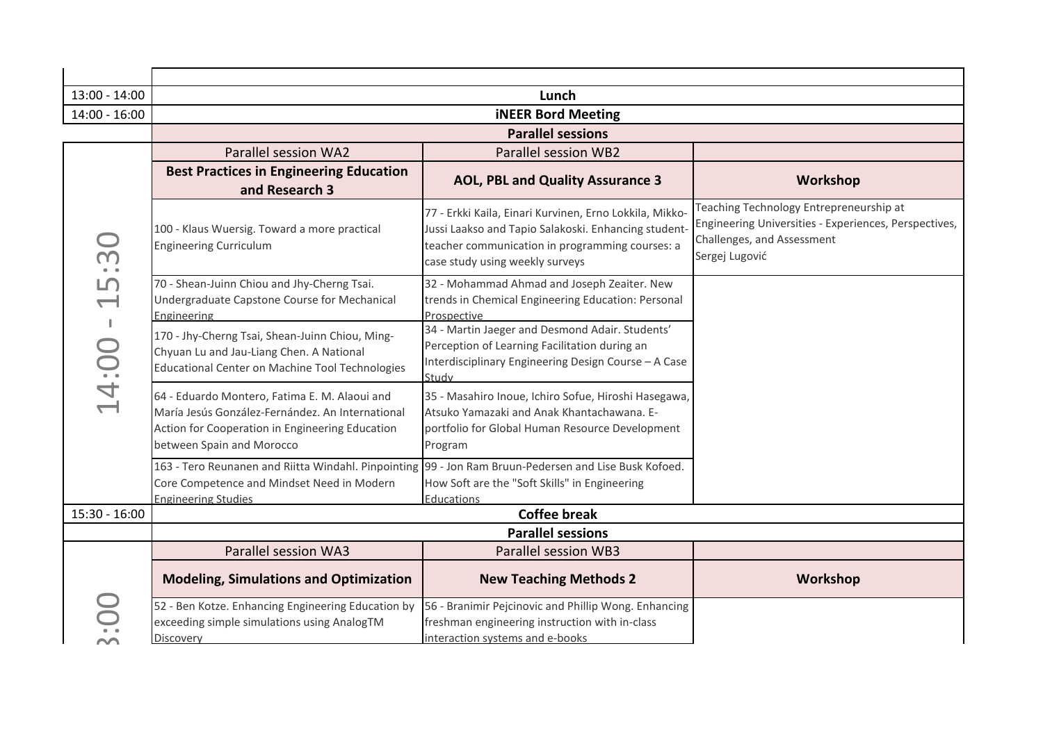| 13:00 - 14:00                                                          | Lunch                                                                                                                                                                             |                                                                                                                                                                                                       |                                                                                                                                                  |
|------------------------------------------------------------------------|-----------------------------------------------------------------------------------------------------------------------------------------------------------------------------------|-------------------------------------------------------------------------------------------------------------------------------------------------------------------------------------------------------|--------------------------------------------------------------------------------------------------------------------------------------------------|
| $14:00 - 16:00$                                                        | <b>iNEER Bord Meeting</b>                                                                                                                                                         |                                                                                                                                                                                                       |                                                                                                                                                  |
|                                                                        |                                                                                                                                                                                   | <b>Parallel sessions</b>                                                                                                                                                                              |                                                                                                                                                  |
|                                                                        | <b>Parallel session WA2</b>                                                                                                                                                       | Parallel session WB2                                                                                                                                                                                  |                                                                                                                                                  |
|                                                                        | <b>Best Practices in Engineering Education</b><br>and Research 3                                                                                                                  | <b>AOL, PBL and Quality Assurance 3</b>                                                                                                                                                               | Workshop                                                                                                                                         |
| 5:30                                                                   | 100 - Klaus Wuersig. Toward a more practical<br><b>Engineering Curriculum</b>                                                                                                     | 77 - Erkki Kaila, Einari Kurvinen, Erno Lokkila, Mikko-<br>Jussi Laakso and Tapio Salakoski. Enhancing student-<br>teacher communication in programming courses: a<br>case study using weekly surveys | Teaching Technology Entrepreneurship at<br>Engineering Universities - Experiences, Perspectives,<br>Challenges, and Assessment<br>Sergej Lugović |
| $\overline{\phantom{0}}$                                               | 70 - Shean-Juinn Chiou and Jhy-Cherng Tsai.<br>Undergraduate Capstone Course for Mechanical<br>Engineering                                                                        | 32 - Mohammad Ahmad and Joseph Zeaiter. New<br>trends in Chemical Engineering Education: Personal<br>Prospective                                                                                      |                                                                                                                                                  |
| $\blacksquare$<br>14:00                                                | 170 - Jhy-Cherng Tsai, Shean-Juinn Chiou, Ming-<br>Chyuan Lu and Jau-Liang Chen. A National<br>Educational Center on Machine Tool Technologies                                    | 34 - Martin Jaeger and Desmond Adair. Students'<br>Perception of Learning Facilitation during an<br>Interdisciplinary Engineering Design Course - A Case<br>Study                                     |                                                                                                                                                  |
|                                                                        | 64 - Eduardo Montero, Fatima E. M. Alaoui and<br>María Jesús González-Fernández. An International<br>Action for Cooperation in Engineering Education<br>between Spain and Morocco | 35 - Masahiro Inoue, Ichiro Sofue, Hiroshi Hasegawa,<br>Atsuko Yamazaki and Anak Khantachawana. E-<br>portfolio for Global Human Resource Development<br>Program                                      |                                                                                                                                                  |
|                                                                        | 163 - Tero Reunanen and Riitta Windahl. Pinpointing 99 - Jon Ram Bruun-Pedersen and Lise Busk Kofoed.<br>Core Competence and Mindset Need in Modern<br><b>Engineering Studies</b> | How Soft are the "Soft Skills" in Engineering<br>Educations                                                                                                                                           |                                                                                                                                                  |
| $15:30 - 16:00$                                                        |                                                                                                                                                                                   | <b>Coffee break</b>                                                                                                                                                                                   |                                                                                                                                                  |
|                                                                        |                                                                                                                                                                                   | <b>Parallel sessions</b>                                                                                                                                                                              |                                                                                                                                                  |
|                                                                        | Parallel session WA3                                                                                                                                                              | <b>Parallel session WB3</b>                                                                                                                                                                           |                                                                                                                                                  |
|                                                                        | <b>Modeling, Simulations and Optimization</b>                                                                                                                                     | <b>New Teaching Methods 2</b>                                                                                                                                                                         | Workshop                                                                                                                                         |
| $\overline{\phantom{0}}$<br>$\bullet$ $\phantom{}$ $\bullet$<br>$\sim$ | exceeding simple simulations using AnalogTM<br>Discovery                                                                                                                          | 52 - Ben Kotze. Enhancing Engineering Education by 56 - Branimir Pejcinovic and Phillip Wong. Enhancing<br>freshman engineering instruction with in-class<br>interaction systems and e-books          |                                                                                                                                                  |
|                                                                        |                                                                                                                                                                                   |                                                                                                                                                                                                       |                                                                                                                                                  |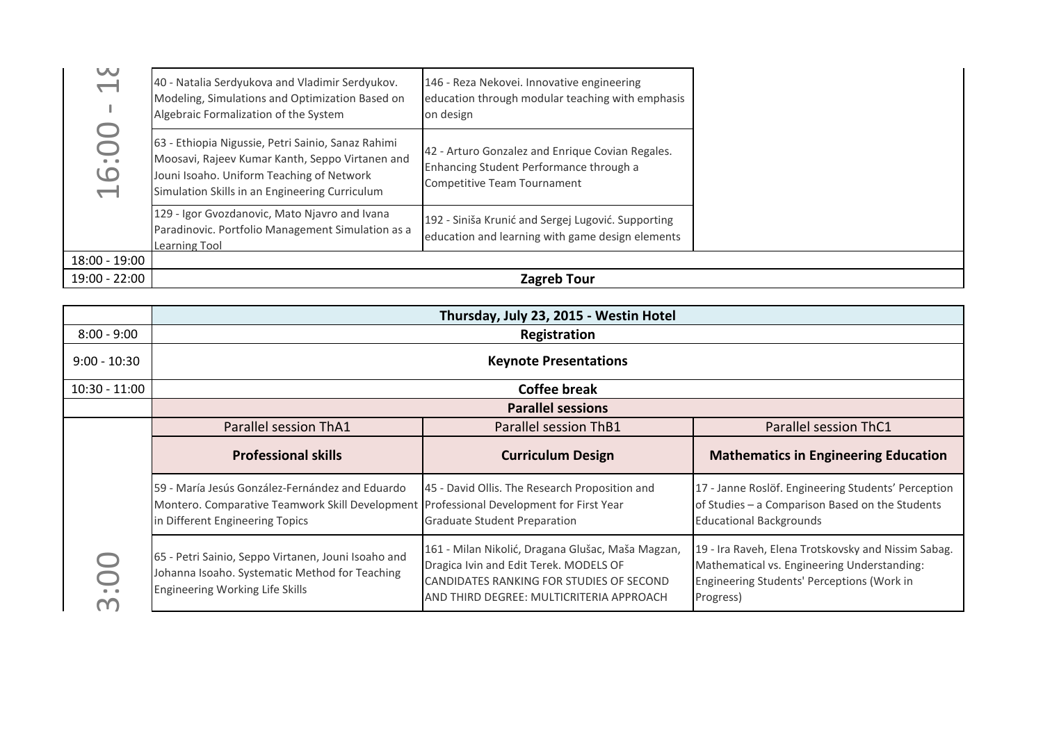| W               | 40 - Natalia Serdyukova and Vladimir Serdyukov.<br>Modeling, Simulations and Optimization Based on<br>Algebraic Formalization of the System                                                          | 146 - Reza Nekovei. Innovative engineering<br>education through modular teaching with emphasis<br>on design                |  |
|-----------------|------------------------------------------------------------------------------------------------------------------------------------------------------------------------------------------------------|----------------------------------------------------------------------------------------------------------------------------|--|
| 0               | 63 - Ethiopia Nigussie, Petri Sainio, Sanaz Rahimi<br>Moosavi, Rajeev Kumar Kanth, Seppo Virtanen and<br>Jouni Isoaho. Uniform Teaching of Network<br>Simulation Skills in an Engineering Curriculum | 42 - Arturo Gonzalez and Enrique Covian Regales.<br>Enhancing Student Performance through a<br>Competitive Team Tournament |  |
|                 | 129 - Igor Gvozdanovic, Mato Njavro and Ivana<br>Paradinovic. Portfolio Management Simulation as a<br><b>Learning Tool</b>                                                                           | 192 - Siniša Krunić and Sergej Lugović. Supporting<br>education and learning with game design elements                     |  |
| $18:00 - 19:00$ |                                                                                                                                                                                                      |                                                                                                                            |  |
| 19:00 - 22:00   |                                                                                                                                                                                                      | <b>Zagreb Tour</b>                                                                                                         |  |

|                       |                                                                                                                                                                               | Thursday, July 23, 2015 - Westin Hotel                                                                                                                                              |                                                                                                                                                               |
|-----------------------|-------------------------------------------------------------------------------------------------------------------------------------------------------------------------------|-------------------------------------------------------------------------------------------------------------------------------------------------------------------------------------|---------------------------------------------------------------------------------------------------------------------------------------------------------------|
| $8:00 - 9:00$         |                                                                                                                                                                               | Registration                                                                                                                                                                        |                                                                                                                                                               |
| $9:00 - 10:30$        |                                                                                                                                                                               | <b>Keynote Presentations</b>                                                                                                                                                        |                                                                                                                                                               |
| $10:30 - 11:00$       |                                                                                                                                                                               | <b>Coffee break</b>                                                                                                                                                                 |                                                                                                                                                               |
|                       |                                                                                                                                                                               | <b>Parallel sessions</b>                                                                                                                                                            |                                                                                                                                                               |
|                       | Parallel session ThA1                                                                                                                                                         | Parallel session ThB1                                                                                                                                                               | Parallel session ThC1                                                                                                                                         |
|                       | <b>Professional skills</b>                                                                                                                                                    | <b>Curriculum Design</b>                                                                                                                                                            | <b>Mathematics in Engineering Education</b>                                                                                                                   |
|                       | 59 - María Jesús González-Fernández and Eduardo<br>Montero. Comparative Teamwork Skill Development Professional Development for First Year<br>in Different Engineering Topics | 45 - David Ollis. The Research Proposition and<br><b>Graduate Student Preparation</b>                                                                                               | 17 - Janne Roslöf. Engineering Students' Perception<br>of Studies - a Comparison Based on the Students<br><b>Educational Backgrounds</b>                      |
| $\sum_{i=1}^{n}$<br>m | 65 - Petri Sainio, Seppo Virtanen, Jouni Isoaho and<br>Johanna Isoaho. Systematic Method for Teaching<br>Engineering Working Life Skills                                      | 161 - Milan Nikolić, Dragana Glušac, Maša Magzan,<br>Dragica Ivin and Edit Terek. MODELS OF<br>CANDIDATES RANKING FOR STUDIES OF SECOND<br>AND THIRD DEGREE: MULTICRITERIA APPROACH | 19 - Ira Raveh, Elena Trotskovsky and Nissim Sabag.<br>Mathematical vs. Engineering Understanding:<br>Engineering Students' Perceptions (Work in<br>Progress) |
|                       |                                                                                                                                                                               |                                                                                                                                                                                     |                                                                                                                                                               |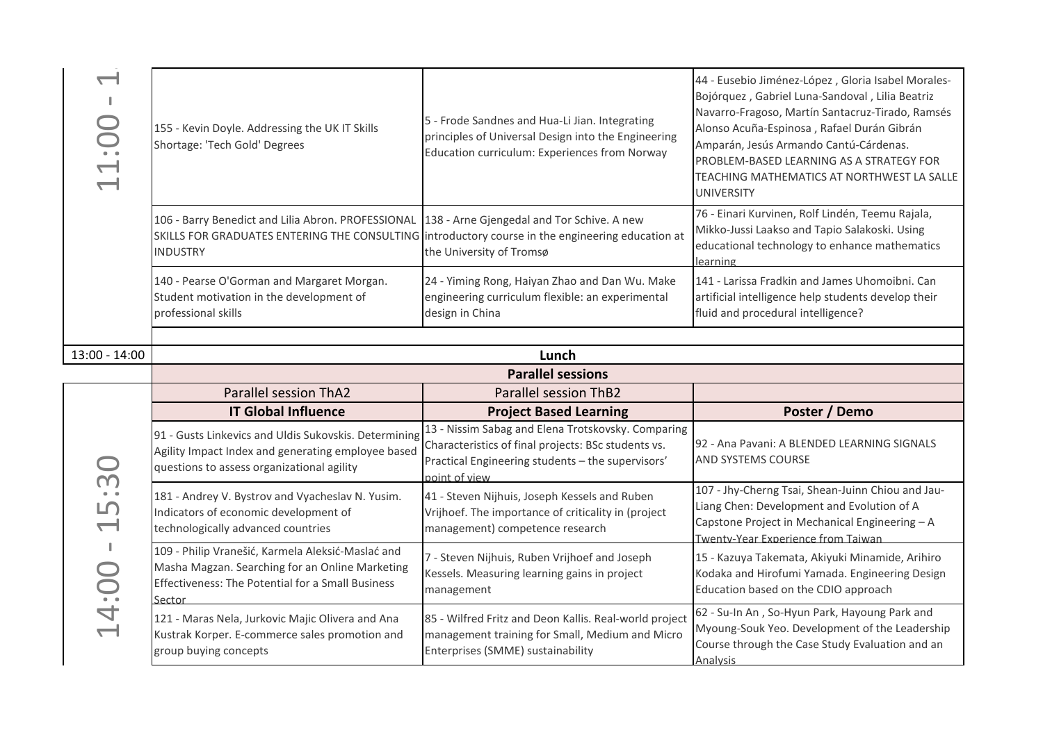| J.<br>11:00   | 155 - Kevin Doyle. Addressing the UK IT Skills<br>Shortage: 'Tech Gold' Degrees                                                                                           | 5 - Frode Sandnes and Hua-Li Jian. Integrating<br>principles of Universal Design into the Engineering<br>Education curriculum: Experiences from Norway                          | 44 - Eusebio Jiménez-López, Gloria Isabel Morales-<br>Bojórquez, Gabriel Luna-Sandoval, Lilia Beatriz<br>Navarro-Fragoso, Martín Santacruz-Tirado, Ramsés<br>Alonso Acuña-Espinosa, Rafael Durán Gibrán<br>Amparán, Jesús Armando Cantú-Cárdenas.<br>PROBLEM-BASED LEARNING AS A STRATEGY FOR<br>TEACHING MATHEMATICS AT NORTHWEST LA SALLE<br><b>UNIVERSITY</b> |
|---------------|---------------------------------------------------------------------------------------------------------------------------------------------------------------------------|---------------------------------------------------------------------------------------------------------------------------------------------------------------------------------|------------------------------------------------------------------------------------------------------------------------------------------------------------------------------------------------------------------------------------------------------------------------------------------------------------------------------------------------------------------|
|               | 106 - Barry Benedict and Lilia Abron. PROFESSIONAL<br>SKILLS FOR GRADUATES ENTERING THE CONSULTING introductory course in the engineering education at<br><b>INDUSTRY</b> | 138 - Arne Gjengedal and Tor Schive. A new<br>the University of Tromsø                                                                                                          | 76 - Einari Kurvinen, Rolf Lindén, Teemu Rajala,<br>Mikko-Jussi Laakso and Tapio Salakoski. Using<br>educational technology to enhance mathematics<br>learning                                                                                                                                                                                                   |
|               | 140 - Pearse O'Gorman and Margaret Morgan.<br>Student motivation in the development of<br>professional skills                                                             | 24 - Yiming Rong, Haiyan Zhao and Dan Wu. Make<br>engineering curriculum flexible: an experimental<br>design in China                                                           | 141 - Larissa Fradkin and James Uhomoibni. Can<br>artificial intelligence help students develop their<br>fluid and procedural intelligence?                                                                                                                                                                                                                      |
| 13:00 - 14:00 |                                                                                                                                                                           | Lunch                                                                                                                                                                           |                                                                                                                                                                                                                                                                                                                                                                  |
|               |                                                                                                                                                                           | <b>Parallel sessions</b>                                                                                                                                                        |                                                                                                                                                                                                                                                                                                                                                                  |
|               | <b>Parallel session ThA2</b>                                                                                                                                              | <b>Parallel session ThB2</b>                                                                                                                                                    |                                                                                                                                                                                                                                                                                                                                                                  |
|               | <b>IT Global Influence</b>                                                                                                                                                | <b>Project Based Learning</b>                                                                                                                                                   | Poster / Demo                                                                                                                                                                                                                                                                                                                                                    |
|               |                                                                                                                                                                           |                                                                                                                                                                                 |                                                                                                                                                                                                                                                                                                                                                                  |
|               | 91 - Gusts Linkevics and Uldis Sukovskis. Determining<br>Agility Impact Index and generating employee based<br>questions to assess organizational agility                 | 13 - Nissim Sabag and Elena Trotskovsky. Comparing<br>Characteristics of final projects: BSc students vs.<br>Practical Engineering students - the supervisors'<br>point of view | 92 - Ana Pavani: A BLENDED LEARNING SIGNALS<br>AND SYSTEMS COURSE                                                                                                                                                                                                                                                                                                |
| 5:30          | 181 - Andrey V. Bystrov and Vyacheslav N. Yusim.<br>Indicators of economic development of<br>technologically advanced countries                                           | 41 - Steven Nijhuis, Joseph Kessels and Ruben<br>Vrijhoef. The importance of criticality in (project<br>management) competence research                                         | 107 - Jhy-Cherng Tsai, Shean-Juinn Chiou and Jau-<br>Liang Chen: Development and Evolution of A<br>Capstone Project in Mechanical Engineering - A<br>Twenty-Year Experience from Taiwan                                                                                                                                                                          |
| 14:0          | 109 - Philip Vranešić, Karmela Aleksić-Maslać and<br>Masha Magzan. Searching for an Online Marketing<br>Effectiveness: The Potential for a Small Business<br>Sector       | 7 - Steven Nijhuis, Ruben Vrijhoef and Joseph<br>Kessels. Measuring learning gains in project<br>management                                                                     | 15 - Kazuya Takemata, Akiyuki Minamide, Arihiro<br>Kodaka and Hirofumi Yamada. Engineering Design<br>Education based on the CDIO approach                                                                                                                                                                                                                        |